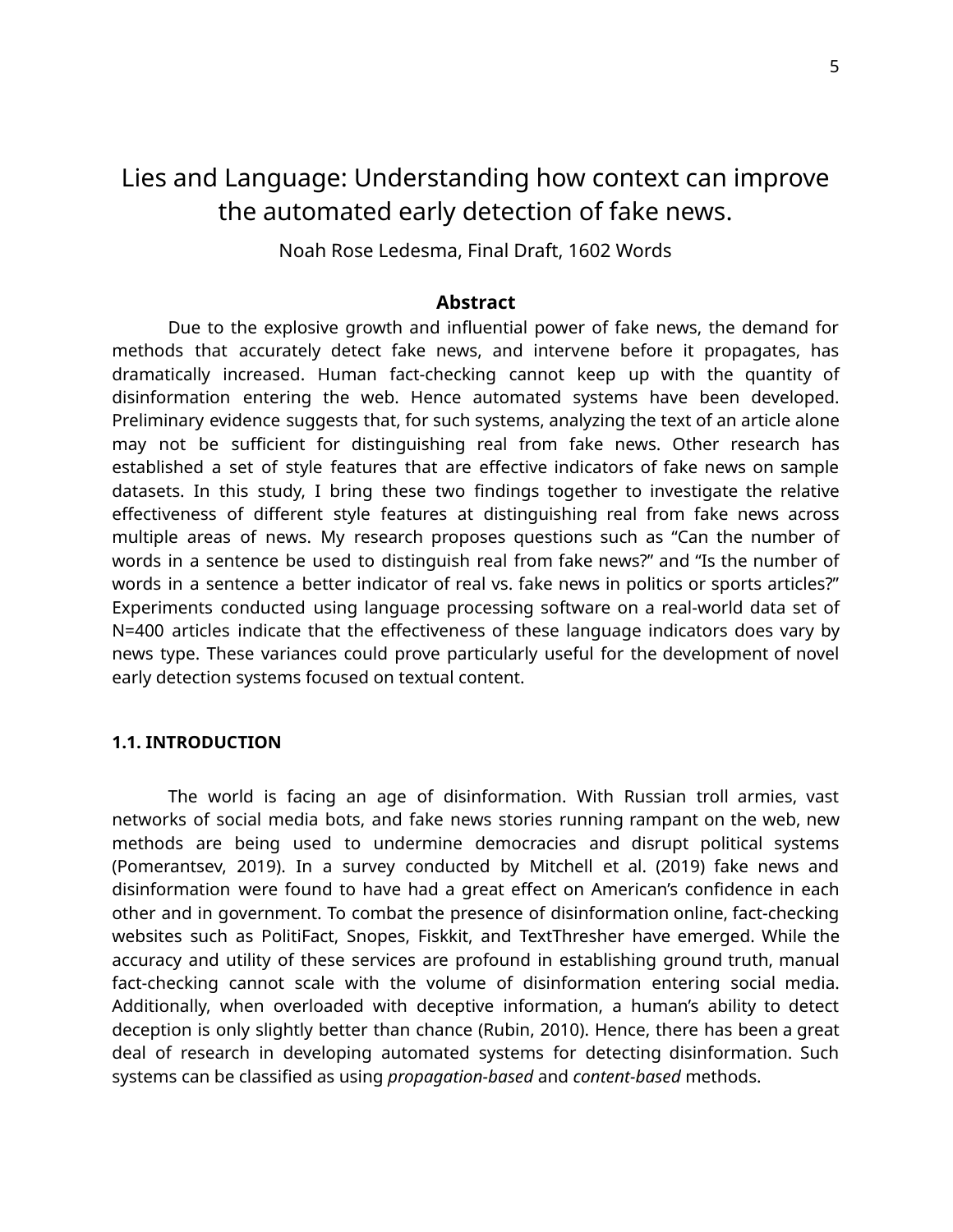# Lies and Language: Understanding how context can improve the automated early detection of fake news.

Noah Rose Ledesma, Final Draft, 1602 Words

# **Abstract**

Due to the explosive growth and influential power of fake news, the demand for methods that accurately detect fake news, and intervene before it propagates, has dramatically increased. Human fact-checking cannot keep up with the quantity of disinformation entering the web. Hence automated systems have been developed. Preliminary evidence suggests that, for such systems, analyzing the text of an article alone may not be sufficient for distinguishing real from fake news. Other research has established a set of style features that are effective indicators of fake news on sample datasets. In this study, I bring these two findings together to investigate the relative effectiveness of different style features at distinguishing real from fake news across multiple areas of news. My research proposes questions such as "Can the number of words in a sentence be used to distinguish real from fake news?" and "Is the number of words in a sentence a better indicator of real vs. fake news in politics or sports articles?" Experiments conducted using language processing software on a real-world data set of N=400 articles indicate that the effectiveness of these language indicators does vary by news type. These variances could prove particularly useful for the development of novel early detection systems focused on textual content.

### **1.1. INTRODUCTION**

The world is facing an age of disinformation. With Russian troll armies, vast networks of social media bots, and fake news stories running rampant on the web, new methods are being used to undermine democracies and disrupt political systems (Pomerantsev, 2019). In a survey conducted by Mitchell et al. (2019) fake news and disinformation were found to have had a great effect on American's confidence in each other and in government. To combat the presence of disinformation online, fact-checking websites such as PolitiFact, Snopes, Fiskkit, and TextThresher have emerged. While the accuracy and utility of these services are profound in establishing ground truth, manual fact-checking cannot scale with the volume of disinformation entering social media. Additionally, when overloaded with deceptive information, a human's ability to detect deception is only slightly better than chance (Rubin, 2010). Hence, there has been a great deal of research in developing automated systems for detecting disinformation. Such systems can be classified as using *propagation-based* and *content-based* methods.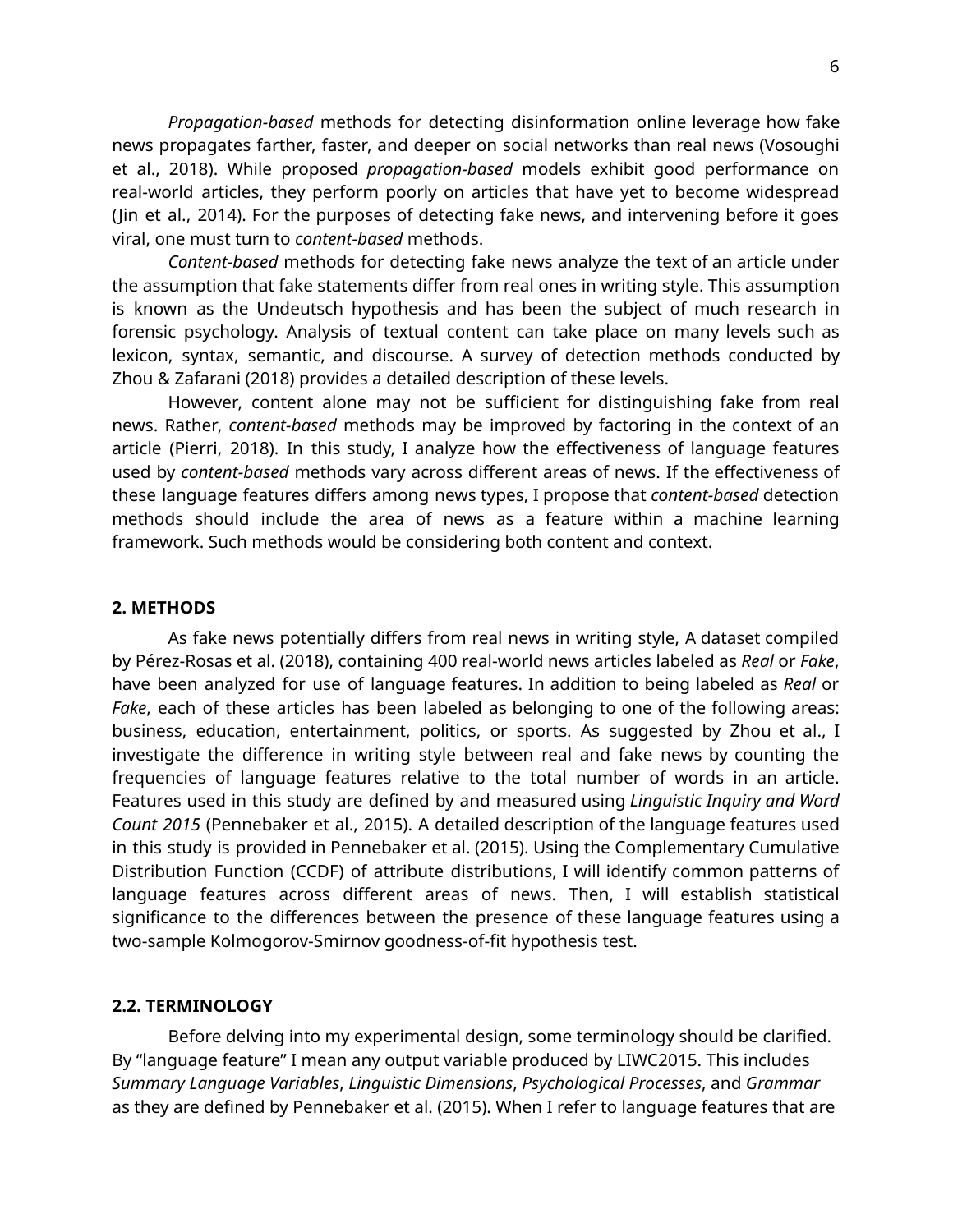*Propagation-based* methods for detecting disinformation online leverage how fake news propagates farther, faster, and deeper on social networks than real news (Vosoughi et al., 2018). While proposed *propagation-based* models exhibit good performance on real-world articles, they perform poorly on articles that have yet to become widespread (Jin et al., 2014). For the purposes of detecting fake news, and intervening before it goes viral, one must turn to *content-based* methods.

*Content-based* methods for detecting fake news analyze the text of an article under the assumption that fake statements differ from real ones in writing style. This assumption is known as the Undeutsch hypothesis and has been the subject of much research in forensic psychology. Analysis of textual content can take place on many levels such as lexicon, syntax, semantic, and discourse. A survey of detection methods conducted by Zhou & Zafarani (2018) provides a detailed description of these levels.

However, content alone may not be sufficient for distinguishing fake from real news. Rather, *content-based* methods may be improved by factoring in the context of an article (Pierri, 2018). In this study, I analyze how the effectiveness of language features used by *content-based* methods vary across different areas of news. If the effectiveness of these language features differs among news types, I propose that *content-based* detection methods should include the area of news as a feature within a machine learning framework. Such methods would be considering both content and context.

# **2. METHODS**

As fake news potentially differs from real news in writing style, A dataset compiled by Pérez-Rosas et al. (2018), containing 400 real-world news articles labeled as *Real* or *Fake*, have been analyzed for use of language features. In addition to being labeled as *Real* or *Fake*, each of these articles has been labeled as belonging to one of the following areas: business, education, entertainment, politics, or sports. As suggested by Zhou et al., I investigate the difference in writing style between real and fake news by counting the frequencies of language features relative to the total number of words in an article. Features used in this study are defined by and measured using *Linguistic Inquiry and Word Count 2015* (Pennebaker et al., 2015). A detailed description of the language features used in this study is provided in Pennebaker et al. (2015). Using the Complementary Cumulative Distribution Function (CCDF) of attribute distributions, I will identify common patterns of language features across different areas of news. Then, I will establish statistical significance to the differences between the presence of these language features using a two-sample Kolmogorov-Smirnov goodness-of-fit hypothesis test.

#### **2.2. TERMINOLOGY**

Before delving into my experimental design, some terminology should be clarified. By "language feature" I mean any output variable produced by LIWC2015. This includes *Summary Language Variables*, *Linguistic Dimensions*, *Psychological Processes*, and *Grammar* as they are defined by Pennebaker et al. (2015). When I refer to language features that are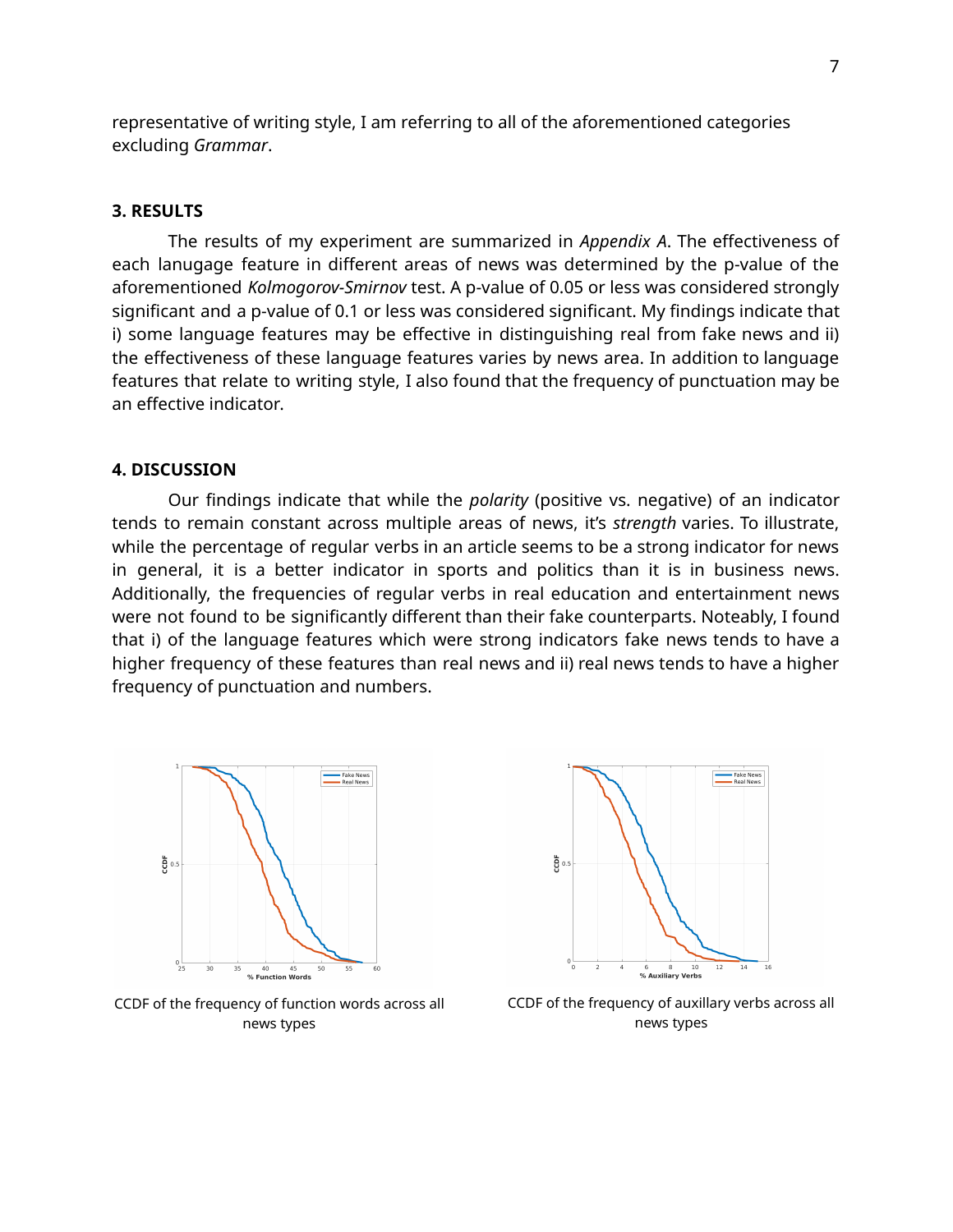representative of writing style, I am referring to all of the aforementioned categories excluding *Grammar*.

## **3. RESULTS**

The results of my experiment are summarized in *Appendix A*. The effectiveness of each lanugage feature in different areas of news was determined by the p-value of the aforementioned *Kolmogorov-Smirnov* test. A p-value of 0.05 or less was considered strongly significant and a p-value of 0.1 or less was considered significant. My findings indicate that i) some language features may be effective in distinguishing real from fake news and ii) the effectiveness of these language features varies by news area. In addition to language features that relate to writing style, I also found that the frequency of punctuation may be an effective indicator.

# **4. DISCUSSION**

Our findings indicate that while the *polarity* (positive vs. negative) of an indicator tends to remain constant across multiple areas of news, it's *strength* varies. To illustrate, while the percentage of regular verbs in an article seems to be a strong indicator for news in general, it is a better indicator in sports and politics than it is in business news. Additionally, the frequencies of regular verbs in real education and entertainment news were not found to be significantly different than their fake counterparts. Noteably, I found that i) of the language features which were strong indicators fake news tends to have a higher frequency of these features than real news and ii) real news tends to have a higher frequency of punctuation and numbers.





CCDF of the frequency of function words across all news types

CCDF of the frequency of auxillary verbs across all news types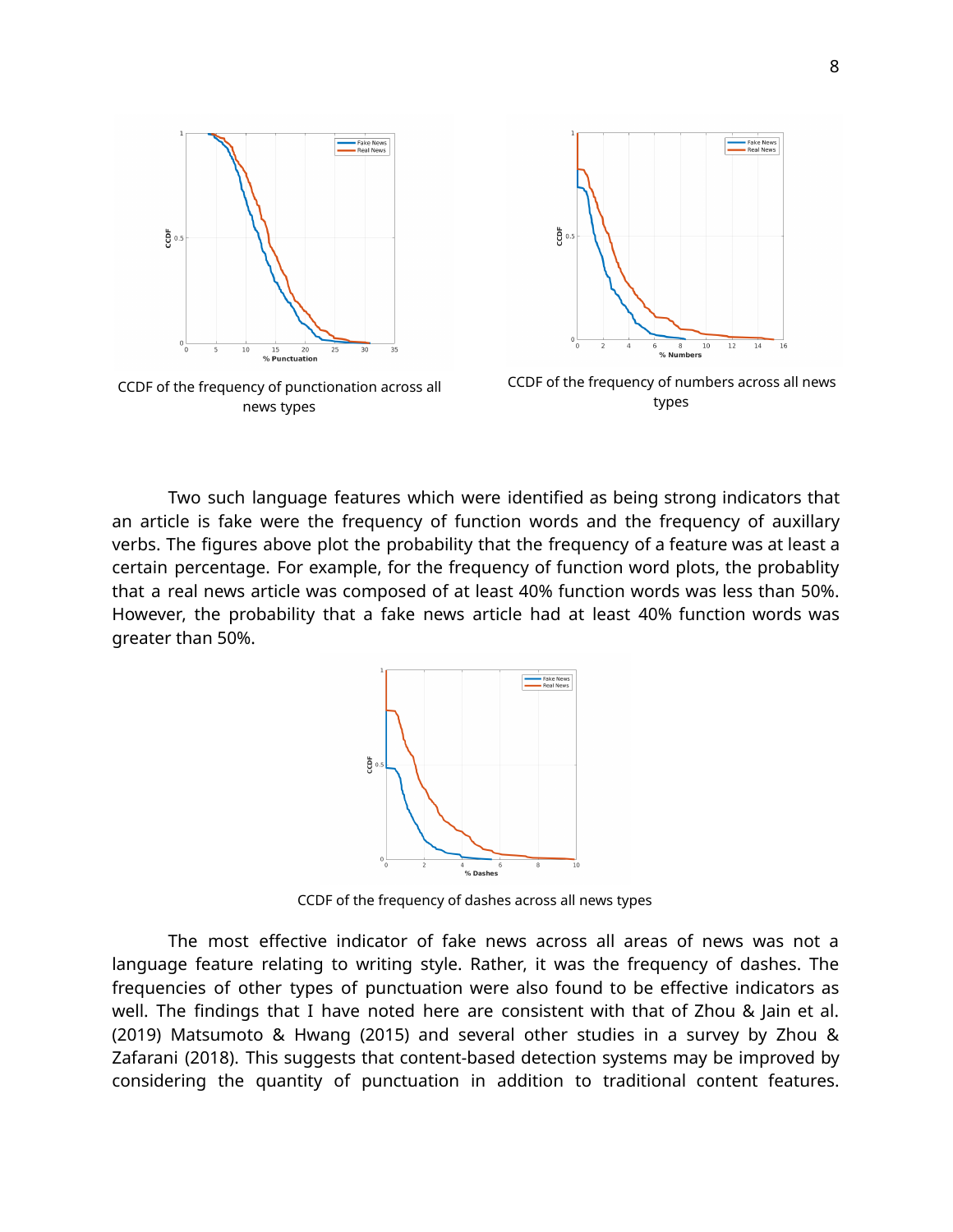

CCDF of the frequency of punctionation across all news types



CCDF of the frequency of numbers across all news types

Two such language features which were identified as being strong indicators that an article is fake were the frequency of function words and the frequency of auxillary verbs. The figures above plot the probability that the frequency of a feature was at least a certain percentage. For example, for the frequency of function word plots, the probablity that a real news article was composed of at least 40% function words was less than 50%. However, the probability that a fake news article had at least 40% function words was greater than 50%.



CCDF of the frequency of dashes across all news types

The most effective indicator of fake news across all areas of news was not a language feature relating to writing style. Rather, it was the frequency of dashes. The frequencies of other types of punctuation were also found to be effective indicators as well. The findings that I have noted here are consistent with that of Zhou & Jain et al. (2019) Matsumoto & Hwang (2015) and several other studies in a survey by Zhou & Zafarani (2018). This suggests that content-based detection systems may be improved by considering the quantity of punctuation in addition to traditional content features.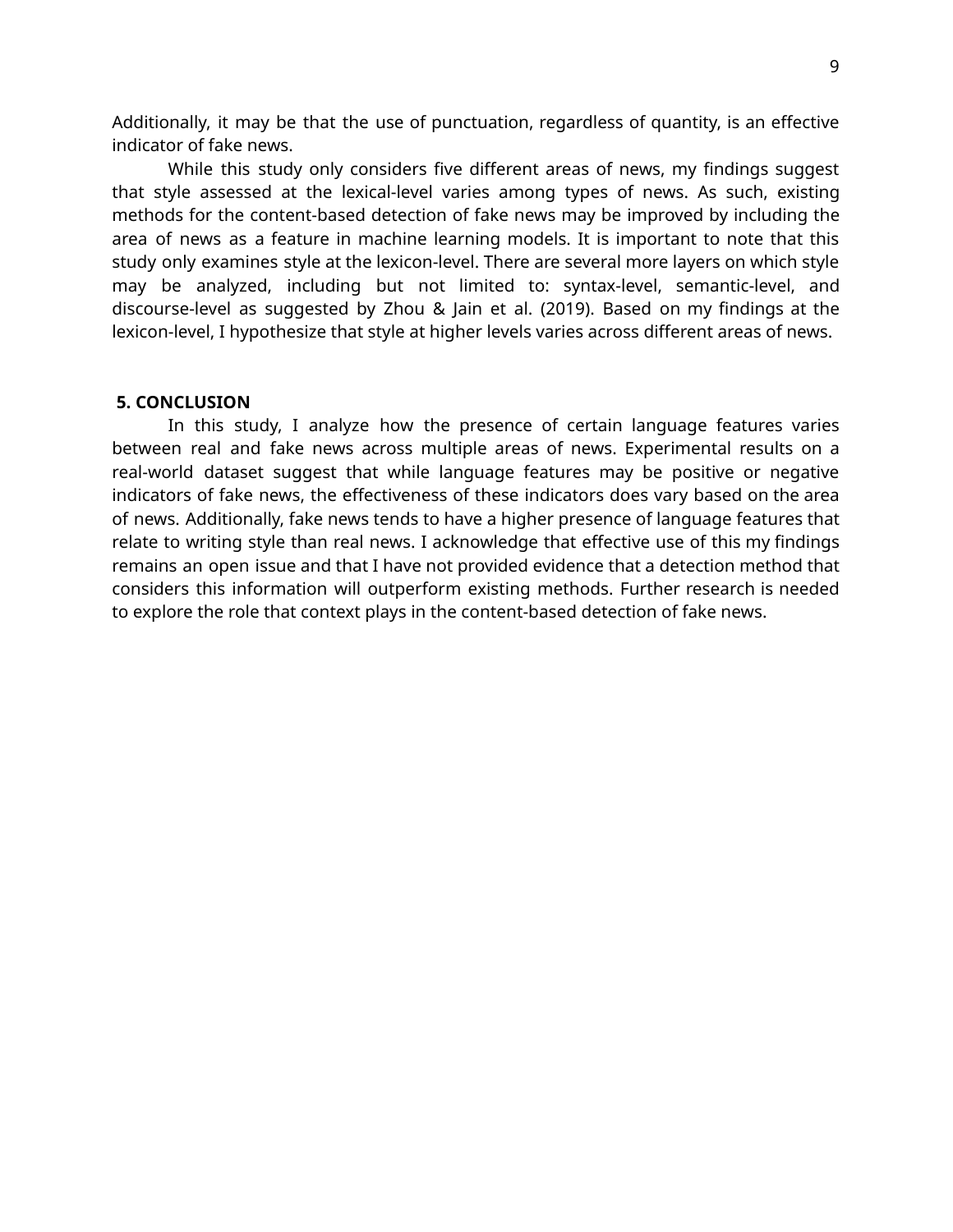Additionally, it may be that the use of punctuation, regardless of quantity, is an effective indicator of fake news.

While this study only considers five different areas of news, my findings suggest that style assessed at the lexical-level varies among types of news. As such, existing methods for the content-based detection of fake news may be improved by including the area of news as a feature in machine learning models. It is important to note that this study only examines style at the lexicon-level. There are several more layers on which style may be analyzed, including but not limited to: syntax-level, semantic-level, and discourse-level as suggested by Zhou & Jain et al. (2019). Based on my findings at the lexicon-level, I hypothesize that style at higher levels varies across different areas of news.

# **5. CONCLUSION**

In this study, I analyze how the presence of certain language features varies between real and fake news across multiple areas of news. Experimental results on a real-world dataset suggest that while language features may be positive or negative indicators of fake news, the effectiveness of these indicators does vary based on the area of news. Additionally, fake news tends to have a higher presence of language features that relate to writing style than real news. I acknowledge that effective use of this my findings remains an open issue and that I have not provided evidence that a detection method that considers this information will outperform existing methods. Further research is needed to explore the role that context plays in the content-based detection of fake news.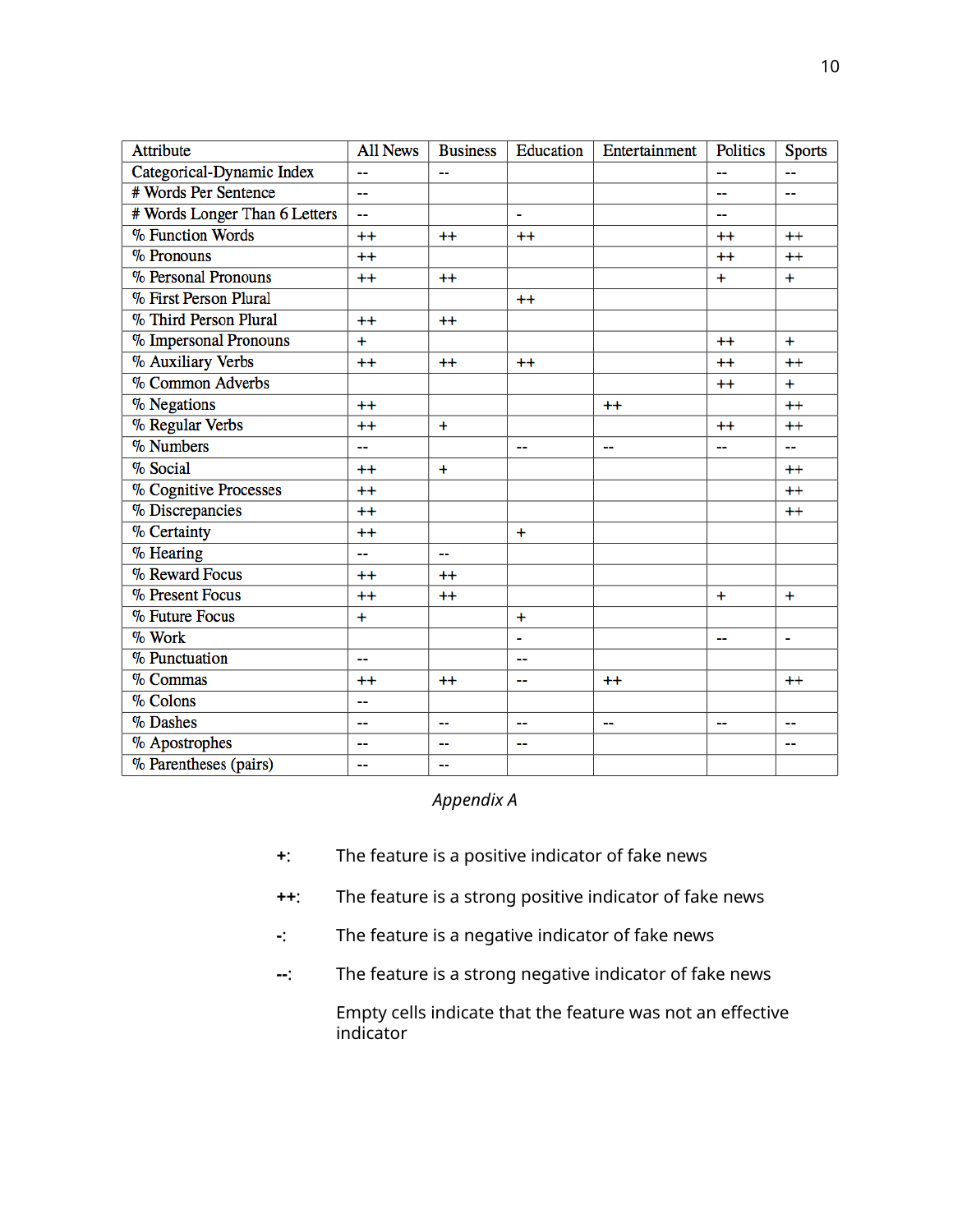| Attribute                     | <b>All News</b> | <b>Business</b> | Education      | Entertainment  | <b>Politics</b> | <b>Sports</b>  |
|-------------------------------|-----------------|-----------------|----------------|----------------|-----------------|----------------|
| Categorical-Dynamic Index     |                 |                 |                |                | --              |                |
| # Words Per Sentence          | 44              |                 |                |                | ш.              | $\overline{a}$ |
| # Words Longer Than 6 Letters | --              |                 |                |                | --              |                |
| % Function Words              | $++$            | $^{++}$         | $++$           |                | $++$            | $++$           |
| % Pronouns                    | $++$            |                 |                |                | $^{++}$         | $++$           |
| % Personal Pronouns           | $^{++}$         | $^{++}$         |                |                | $\ddot{}$       | $\ddot{}$      |
| % First Person Plural         |                 |                 | $++$           |                |                 |                |
| % Third Person Plural         | $^{++}$         | $^{++}$         |                |                |                 |                |
| % Impersonal Pronouns         | $+$             |                 |                |                | $++$            | $+$            |
| % Auxiliary Verbs             | $++$            | $++$            | $++$           |                | $++$            | $++$           |
| % Common Adverbs              |                 |                 |                |                | $^{++}$         | $+$            |
| % Negations                   | $++$            |                 |                | $++$           |                 | $++$           |
| % Regular Verbs               | $++$            | $\ddot{}$       |                |                | $++$            | $++$           |
| % Numbers                     | --              |                 | $\overline{a}$ | --             | --              | --             |
| % Social                      | $++$            | $\ddot{}$       |                |                |                 | $++$           |
| % Cognitive Processes         | $++$            |                 |                |                |                 | $^{++}$        |
| % Discrepancies               | $++$            |                 |                |                |                 | $++$           |
| % Certainty                   | $++$            |                 | $+$            |                |                 |                |
| % Hearing                     | 44              | --              |                |                |                 |                |
| % Reward Focus                | $++$            | $++$            |                |                |                 |                |
| % Present Focus               | $++$            | $^{++}$         |                |                | $\ddot{}$       | $\ddot{}$      |
| % Future Focus                | $\ddot{}$       |                 | $\ddot{}$      |                |                 |                |
| $\%$ Work                     |                 |                 | $\blacksquare$ |                | ш.              | $\blacksquare$ |
| % Punctuation                 | --              |                 |                |                |                 |                |
| % Commas                      | $++$            | $^{++}$         | $\sim$         | $++$           |                 | $++$           |
| % Colons                      | --              |                 |                |                |                 |                |
| % Dashes                      | 44              | --              | 44             | $\overline{a}$ | ш.              | --             |
| % Apostrophes                 | --              | ۵.              | н.             |                |                 |                |
| % Parentheses (pairs)         | 44              | --              |                |                |                 |                |

# *Appendix A*

- **+**: The feature is a positive indicator of fake news
- **++**: The feature is a strong positive indicator of fake news
- **-**: The feature is a negative indicator of fake news
- **--**: The feature is a strong negative indicator of fake news

Empty cells indicate that the feature was not an effective indicator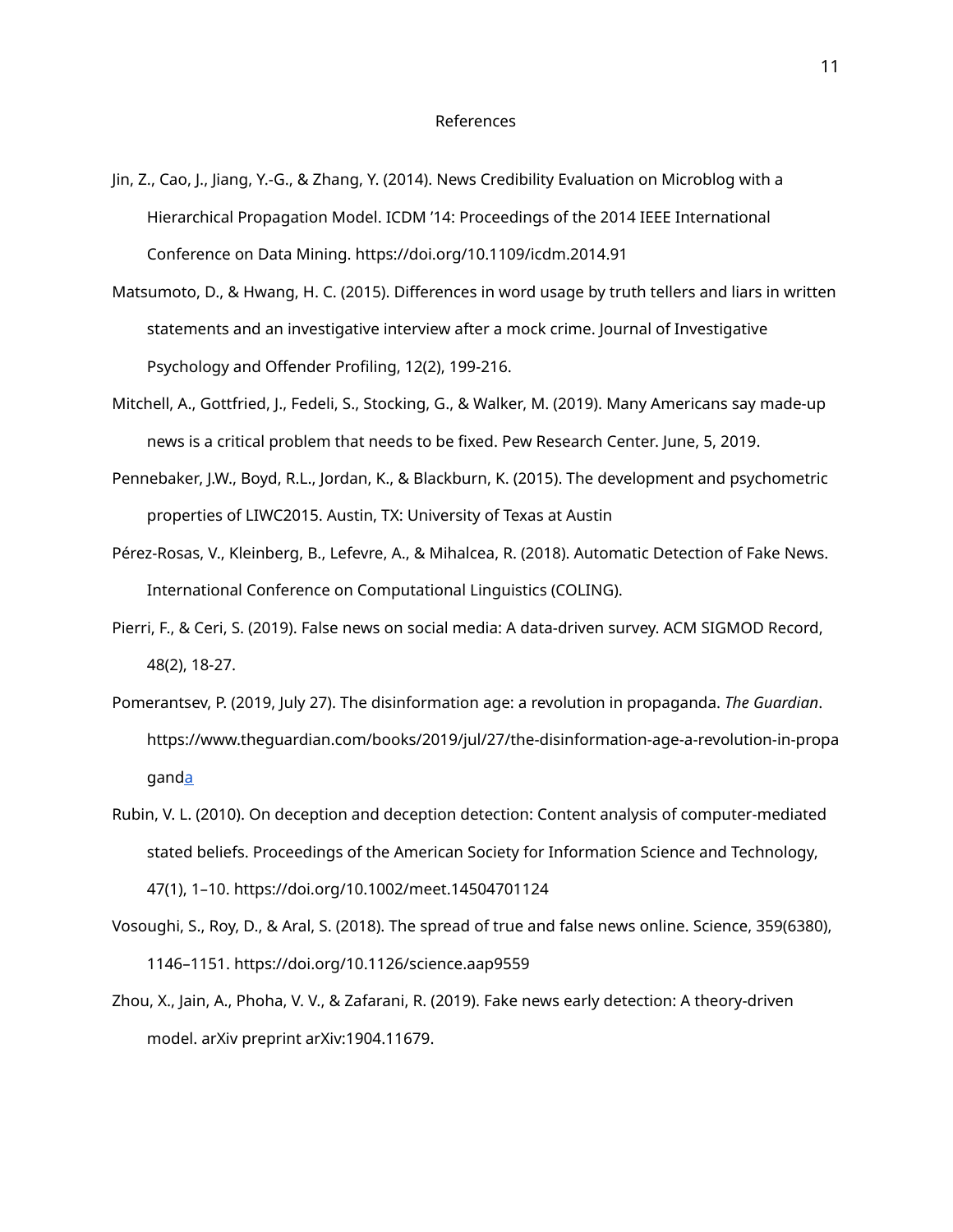- Jin, Z., Cao, J., Jiang, Y.-G., & Zhang, Y. (2014). News Credibility Evaluation on Microblog with a Hierarchical Propagation Model. ICDM '14: Proceedings of the 2014 IEEE International Conference on Data Mining. https://doi.org/10.1109/icdm.2014.91
- Matsumoto, D., & Hwang, H. C. (2015). Differences in word usage by truth tellers and liars in written statements and an investigative interview after a mock crime. Journal of Investigative Psychology and Offender Profiling, 12(2), 199-216.
- Mitchell, A., Gottfried, J., Fedeli, S., Stocking, G., & Walker, M. (2019). Many Americans say made-up news is a critical problem that needs to be fixed. Pew Research Center. June, 5, 2019.
- Pennebaker, J.W., Boyd, R.L., Jordan, K., & Blackburn, K. (2015). The development and psychometric properties of LIWC2015. Austin, TX: University of Texas at Austin
- Pérez-Rosas, V., Kleinberg, B., Lefevre, A., & Mihalcea, R. (2018). Automatic Detection of Fake News. International Conference on Computational Linguistics (COLING).
- Pierri, F., & Ceri, S. (2019). False news on social media: A data-driven survey. ACM SIGMOD Record, 48(2), 18-27.
- Pomerantsev, P. (2019, July 27). The disinformation age: a revolution in propaganda. *The Guardian*. https://www.theguardian.com/books/2019/jul/27/the-disinformation-age-a-revolution-in-propa gan[da](https://www.theguardian.com/books/2019/jul/27/the-disinformation-age-a-revolution-in-propaganda)
- Rubin, V. L. (2010). On deception and deception detection: Content analysis of computer-mediated stated beliefs. Proceedings of the American Society for Information Science and Technology, 47(1), 1–10. https://doi.org/10.1002/meet.14504701124
- Vosoughi, S., Roy, D., & Aral, S. (2018). The spread of true and false news online. Science, 359(6380), 1146–1151. https://doi.org/10.1126/science.aap9559
- Zhou, X., Jain, A., Phoha, V. V., & Zafarani, R. (2019). Fake news early detection: A theory-driven model. arXiv preprint arXiv:1904.11679.